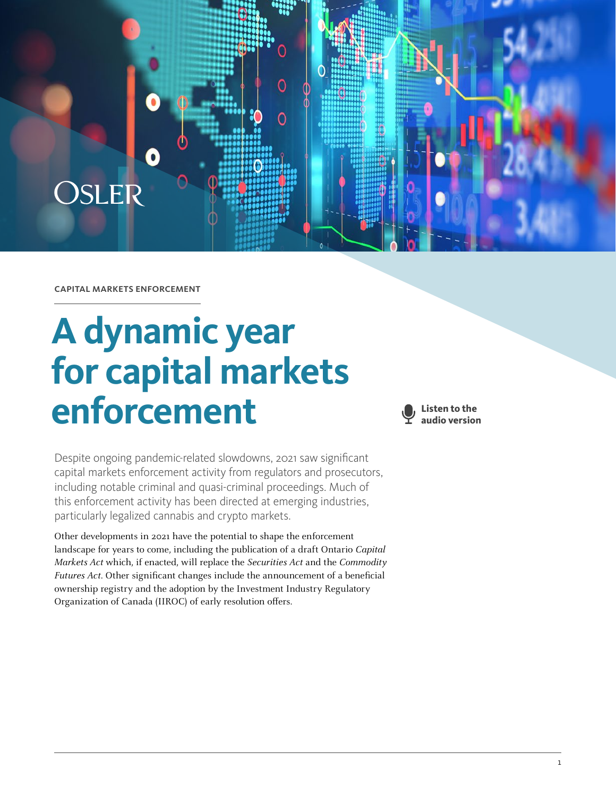

capital markets enforcement

# **A dynamic year for capital markets enforcement**



Despite ongoing pandemic-related slowdowns, 2021 saw significant capital markets enforcement activity from regulators and prosecutors, including notable criminal and quasi-criminal proceedings. Much of this enforcement activity has been directed at emerging industries, particularly legalized cannabis and crypto markets.

Other developments in 2021 have the potential to shape the enforcement landscape for years to come, including the publication of a draft Ontario Capital Markets Act which, if enacted, will replace the Securities Act and the Commodity Futures Act. Other significant changes include the announcement of a beneficial ownership registry and the adoption by the Investment Industry Regulatory Organization of Canada (IIROC) of early resolution offers.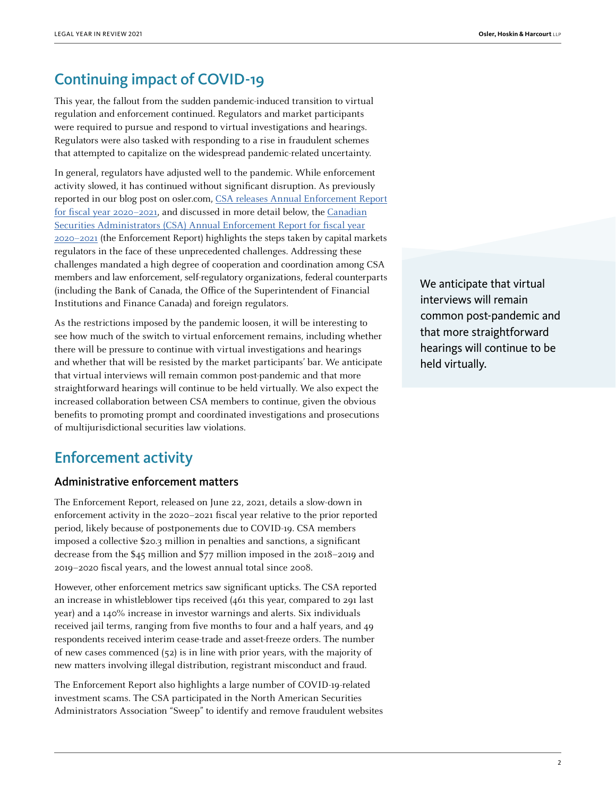## Continuing impact of COVID-19

This year, the fallout from the sudden pandemic-induced transition to virtual regulation and enforcement continued. Regulators and market participants were required to pursue and respond to virtual investigations and hearings. Regulators were also tasked with responding to a rise in fraudulent schemes that attempted to capitalize on the widespread pandemic-related uncertainty.

In general, regulators have adjusted well to the pandemic. While enforcement activity slowed, it has continued without significant disruption. As previously reported in our blog post on osler.com, [CSA releases Annual Enforcement Report](https://www.osler.com/en/blogs/risk/july-2021/csa-releases-annual-enforcement-report-for-fiscal-year-2020-en) [for fiscal year 2020–2021](https://www.osler.com/en/blogs/risk/july-2021/csa-releases-annual-enforcement-report-for-fiscal-year-2020-en), and discussed in more detail below, the [Canadian](http://www.csasanctions.ca/assets/pdf/CSA-Enforcement Report-English-2021.pdf) [Securities Administrators \(CSA\) Annual Enforcement Report for fiscal year](http://www.csasanctions.ca/assets/pdf/CSA-Enforcement Report-English-2021.pdf) [2020–2021](http://www.csasanctions.ca/assets/pdf/CSA-Enforcement Report-English-2021.pdf) (the Enforcement Report) highlights the steps taken by capital markets regulators in the face of these unprecedented challenges. Addressing these challenges mandated a high degree of cooperation and coordination among CSA members and law enforcement, self-regulatory organizations, federal counterparts (including the Bank of Canada, the Office of the Superintendent of Financial Institutions and Finance Canada) and foreign regulators.

As the restrictions imposed by the pandemic loosen, it will be interesting to see how much of the switch to virtual enforcement remains, including whether there will be pressure to continue with virtual investigations and hearings and whether that will be resisted by the market participants' bar. We anticipate that virtual interviews will remain common post-pandemic and that more straightforward hearings will continue to be held virtually. We also expect the increased collaboration between CSA members to continue, given the obvious benefits to promoting prompt and coordinated investigations and prosecutions of multijurisdictional securities law violations.

## Enforcement activity

#### Administrative enforcement matters

The Enforcement Report, released on June 22, 2021, details a slow-down in enforcement activity in the 2020–2021 fiscal year relative to the prior reported period, likely because of postponements due to COVID-19. CSA members imposed a collective \$20.3 million in penalties and sanctions, a significant decrease from the \$45 million and \$77 million imposed in the 2018–2019 and 2019–2020 fiscal years, and the lowest annual total since 2008.

However, other enforcement metrics saw significant upticks. The CSA reported an increase in whistleblower tips received (461 this year, compared to 291 last year) and a 140% increase in investor warnings and alerts. Six individuals received jail terms, ranging from five months to four and a half years, and 49 respondents received interim cease-trade and asset-freeze orders. The number of new cases commenced (52) is in line with prior years, with the majority of new matters involving illegal distribution, registrant misconduct and fraud.

The Enforcement Report also highlights a large number of COVID-19-related investment scams. The CSA participated in the North American Securities Administrators Association "Sweep" to identify and remove fraudulent websites We anticipate that virtual interviews will remain common post-pandemic and that more straightforward hearings will continue to be held virtually.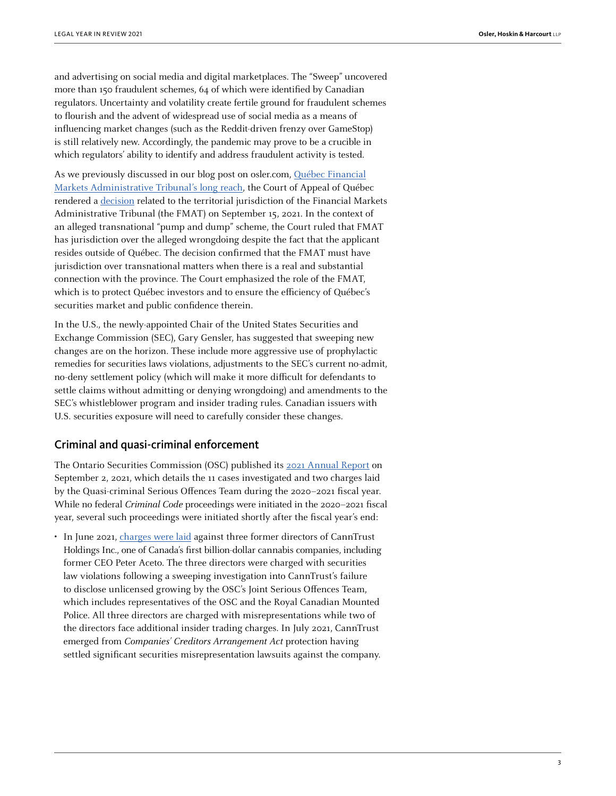and advertising on social media and digital marketplaces. The "Sweep" uncovered more than 150 fraudulent schemes, 64 of which were identified by Canadian regulators. Uncertainty and volatility create fertile ground for fraudulent schemes to flourish and the advent of widespread use of social media as a means of influencing market changes (such as the Reddit-driven frenzy over GameStop) is still relatively new. Accordingly, the pandemic may prove to be a crucible in which regulators' ability to identify and address fraudulent activity is tested.

As we previously discussed in our blog post on osler.com, [Québec Financial](https://www.osler.com/en/blogs/risk/october-2021/quebec-financial-market-administrative-tribunal-s-long-reach) [Markets Administrative Tribunal's long reach](https://www.osler.com/en/blogs/risk/october-2021/quebec-financial-market-administrative-tribunal-s-long-reach), the Court of Appeal of Québec rendered a [decision](https://www.canlii.org/en/qc/qcca/doc/2021/2021qcca1364/2021qcca1364.html) related to the territorial jurisdiction of the Financial Markets Administrative Tribunal (the FMAT) on September 15, 2021. In the context of an alleged transnational "pump and dump" scheme, the Court ruled that FMAT has jurisdiction over the alleged wrongdoing despite the fact that the applicant resides outside of Québec. The decision confirmed that the FMAT must have jurisdiction over transnational matters when there is a real and substantial connection with the province. The Court emphasized the role of the FMAT, which is to protect Québec investors and to ensure the efficiency of Québec's securities market and public confidence therein.

In the U.S., the newly-appointed Chair of the United States Securities and Exchange Commission (SEC), Gary Gensler, has suggested that sweeping new changes are on the horizon. These include more aggressive use of prophylactic remedies for securities laws violations, adjustments to the SEC's current no-admit, no-deny settlement policy (which will make it more difficult for defendants to settle claims without admitting or denying wrongdoing) and amendments to the SEC's whistleblower program and insider trading rules. Canadian issuers with U.S. securities exposure will need to carefully consider these changes.

#### Criminal and quasi-criminal enforcement

The Ontario Securities Commission (OSC) published its [2021 Annual Report](https://www.osc.ca/sites/default/files/2021-09/Publications_rpt_2021_osc-annual-rpt.pdf) on September 2, 2021, which details the 11 cases investigated and two charges laid by the Quasi-criminal Serious Offences Team during the 2020–2021 fiscal year. While no federal Criminal Code proceedings were initiated in the 2020–2021 fiscal year, several such proceedings were initiated shortly after the fiscal year's end:

• In June 2021, [charges were laid](https://www.osc.ca/en/news-events/news/former-officers-and-directors-canntrust-charged-securities-act-offences) against three former directors of CannTrust Holdings Inc., one of Canada's first billion-dollar cannabis companies, including former CEO Peter Aceto. The three directors were charged with securities law violations following a sweeping investigation into CannTrust's failure to disclose unlicensed growing by the OSC's Joint Serious Offences Team, which includes representatives of the OSC and the Royal Canadian Mounted Police. All three directors are charged with misrepresentations while two of the directors face additional insider trading charges. In July 2021, CannTrust emerged from Companies' Creditors Arrangement Act protection having settled significant securities misrepresentation lawsuits against the company.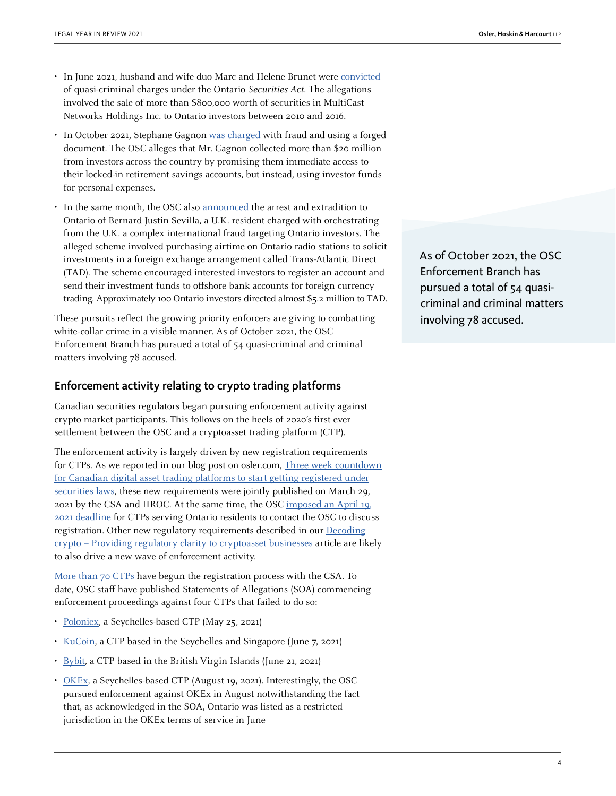- In June 2021, husband and wife duo Marc and Helene Brunet were [convicted](https://www.osc.ca/en/news-events/news/husband-and-wife-convicted-securities-act-offences) of quasi-criminal charges under the Ontario Securities Act. The allegations involved the sale of more than \$800,000 worth of securities in MultiCast Networks Holdings Inc. to Ontario investors between 2010 and 2016.
- In October 2021, Stephane Gagnon [was charged](https://www.osc.ca/en/news-events/news/osc-charges-stephane-gagnon-criminal-fraud-offences) with fraud and using a forged document. The OSC alleges that Mr. Gagnon collected more than \$20 million from investors across the country by promising them immediate access to their locked-in retirement savings accounts, but instead, using investor funds for personal expenses.
- In the same month, the OSC also [announced](https://www.osc.ca/en/news-events/news/osc-extradites-bernard-justin-sevilla-face-criminal-fraud-charges) the arrest and extradition to Ontario of Bernard Justin Sevilla, a U.K. resident charged with orchestrating from the U.K. a complex international fraud targeting Ontario investors. The alleged scheme involved purchasing airtime on Ontario radio stations to solicit investments in a foreign exchange arrangement called Trans-Atlantic Direct (TAD). The scheme encouraged interested investors to register an account and send their investment funds to offshore bank accounts for foreign currency trading. Approximately 100 Ontario investors directed almost \$5.2 million to TAD.

These pursuits reflect the growing priority enforcers are giving to combatting white-collar crime in a visible manner. As of October 2021, the OSC Enforcement Branch has pursued a total of 54 quasi-criminal and criminal matters involving 78 accused.

#### Enforcement activity relating to crypto trading platforms

Canadian securities regulators began pursuing enforcement activity against crypto market participants. This follows on the heels of 2020's first ever settlement between the OSC and a cryptoasset trading platform (CTP).

The enforcement activity is largely driven by new registration requirements for CTPs. As we reported in our blog post on osler.com, [Three week countdown](https://www.osler.com/en/blogs/risk/march-2021/three-week-countdown-for-canadian-digital-asset-trading-platforms-to-start-getting-registered-under) [for Canadian digital asset trading platforms to start getting registered under](https://www.osler.com/en/blogs/risk/march-2021/three-week-countdown-for-canadian-digital-asset-trading-platforms-to-start-getting-registered-under) [securities laws,](https://www.osler.com/en/blogs/risk/march-2021/three-week-countdown-for-canadian-digital-asset-trading-platforms-to-start-getting-registered-under) these new requirements were jointly published on March 29, 2021 by the CSA and IIROC. At the same time, the OSC [imposed an April 19,](https://www.osc.ca/en/news-events/news/osc-working-ensure-crypto-asset-trading-platforms-comply-securities-law)  [2021 deadline](https://www.osc.ca/en/news-events/news/osc-working-ensure-crypto-asset-trading-platforms-comply-securities-law) for CTPs serving Ontario residents to contact the OSC to discuss registration. Other new regulatory requirements described in our [Decoding](https://legalyearinreview.ca/decoding-crypto-providing-regulatory-clarity-to-cryptoasset-businesses/) [crypto – Providing regulatory clarity to cryptoasset businesses](https://legalyearinreview.ca/decoding-crypto-providing-regulatory-clarity-to-cryptoasset-businesses/) article are likely to also drive a new wave of enforcement activity.

[More than 70 CTPs](https://www.osc.ca/en/news-events/news/osc-takes-action-against-non-compliant-international-crypto-asset-trading-platform) have begun the registration process with the CSA. To date, OSC staff have published Statements of Allegations (SOA) commencing enforcement proceedings against four CTPs that failed to do so:

- [Poloniex](https://www.osc.ca/sites/default/files/2021-05/soa_20210525_polo-digital.pdf), a Seychelles-based CTP (May 25, 2021)
- [KuCoin](https://www.osc.ca/sites/default/files/2021-06/soa_20210607_mek-global.pdf), a CTP based in the Seychelles and Singapore (June 7, 2021)
- [Bybit](https://www.osc.ca/sites/default/files/2021-06/soa_20210621_bybit.pdf), a CTP based in the British Virgin Islands (June 21, 2021)
- [OKEx](https://www.osc.ca/sites/default/files/2021-08/oth_20210819_Aux_Cayes_Fintech_Co_Ltd.pdf), a Seychelles-based CTP (August 19, 2021). Interestingly, the OSC pursued enforcement against OKEx in August notwithstanding the fact that, as acknowledged in the SOA, Ontario was listed as a restricted jurisdiction in the OKEx terms of service in June

As of October 2021, the OSC Enforcement Branch has pursued a total of 54 quasicriminal and criminal matters involving 78 accused.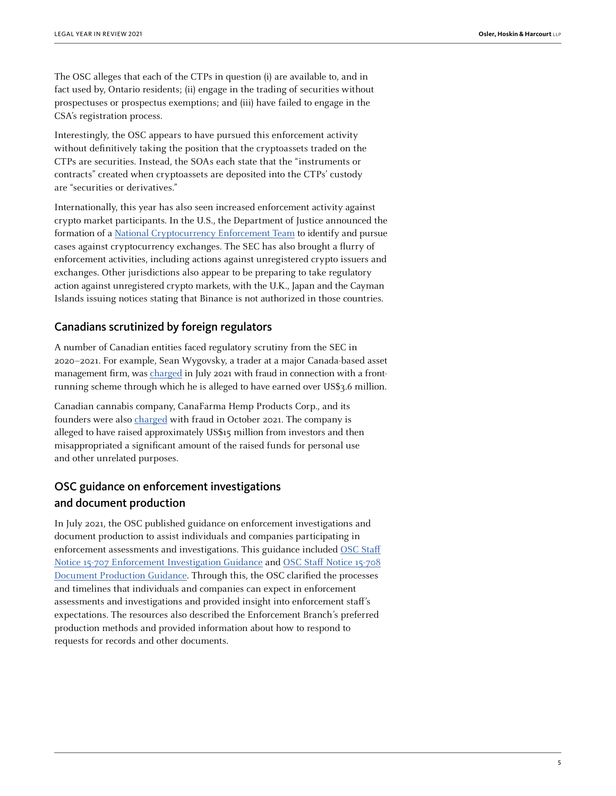The OSC alleges that each of the CTPs in question (i) are available to, and in fact used by, Ontario residents; (ii) engage in the trading of securities without prospectuses or prospectus exemptions; and (iii) have failed to engage in the CSA's registration process.

Interestingly, the OSC appears to have pursued this enforcement activity without definitively taking the position that the cryptoassets traded on the CTPs are securities. Instead, the SOAs each state that the "instruments or contracts" created when cryptoassets are deposited into the CTPs' custody are "securities or derivatives."

Internationally, this year has also seen increased enforcement activity against crypto market participants. In the U.S., the Department of Justice announced the formation of a [National Cryptocurrency Enforcement Team](https://www.justice.gov/opa/pr/deputy-attorney-general-lisa-o-monaco-announces-national-cryptocurrency-enforcement-team) to identify and pursue cases against cryptocurrency exchanges. The SEC has also brought a flurry of enforcement activities, including actions against unregistered crypto issuers and exchanges. Other jurisdictions also appear to be preparing to take regulatory action against unregistered crypto markets, with the U.K., Japan and the Cayman Islands issuing notices stating that Binance is not authorized in those countries.

#### Canadians scrutinized by foreign regulators

A number of Canadian entities faced regulatory scrutiny from the SEC in 2020–2021. For example, Sean Wygovsky, a trader at a major Canada-based asset management firm, was [charged](https://www.sec.gov/news/press-release/2021-118) in July 2021 with fraud in connection with a frontrunning scheme through which he is alleged to have earned over US\$3.6 million.

Canadian cannabis company, CanaFarma Hemp Products Corp., and its founders were also [charged](https://www.sec.gov/litigation/litreleases/2021/lr25240.htm) with fraud in October 2021. The company is alleged to have raised approximately US\$15 million from investors and then misappropriated a significant amount of the raised funds for personal use and other unrelated purposes.

## OSC guidance on enforcement investigations and document production

In July 2021, the OSC published guidance on enforcement investigations and document production to assist individuals and companies participating in enforcement assessments and investigations. This guidance included [OSC Staff](https://www.osc.ca/en/securities-law/instruments-rules-policies/1/15-707/osc-staff-notice-15-707-enforcement-investigation-guidance) [Notice 15-707 Enforcement Investigation Guidance](https://www.osc.ca/en/securities-law/instruments-rules-policies/1/15-707/osc-staff-notice-15-707-enforcement-investigation-guidance) and [OSC Staff Notice 15-708](https://www.osc.ca/en/securities-law/instruments-rules-policies/1/15-708/osc-staff-notice-15-708-document-production-guidance) [Document Production Guidance.](https://www.osc.ca/en/securities-law/instruments-rules-policies/1/15-708/osc-staff-notice-15-708-document-production-guidance) Through this, the OSC clarified the processes and timelines that individuals and companies can expect in enforcement assessments and investigations and provided insight into enforcement staff's expectations. The resources also described the Enforcement Branch's preferred production methods and provided information about how to respond to requests for records and other documents.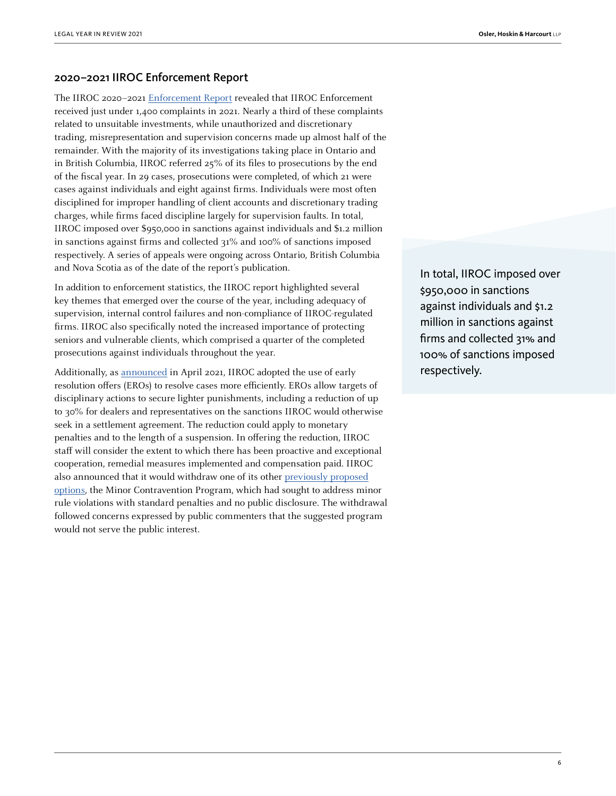#### 2020–2021 IIROC Enforcement Report

The IIROC 2020–2021 [Enforcement Report](https://www.iiroc.ca/sites/default/files/2021-07/IIROC_ 2020_21_EnforcementReport_en.pdf) revealed that IIROC Enforcement received just under 1,400 complaints in 2021. Nearly a third of these complaints related to unsuitable investments, while unauthorized and discretionary trading, misrepresentation and supervision concerns made up almost half of the remainder. With the majority of its investigations taking place in Ontario and in British Columbia, IIROC referred 25% of its files to prosecutions by the end of the fiscal year. In 29 cases, prosecutions were completed, of which 21 were cases against individuals and eight against firms. Individuals were most often disciplined for improper handling of client accounts and discretionary trading charges, while firms faced discipline largely for supervision faults. In total, IIROC imposed over \$950,000 in sanctions against individuals and \$1.2 million in sanctions against firms and collected 31% and 100% of sanctions imposed respectively. A series of appeals were ongoing across Ontario, British Columbia and Nova Scotia as of the date of the report's publication.

In addition to enforcement statistics, the IIROC report highlighted several key themes that emerged over the course of the year, including adequacy of supervision, internal control failures and non-compliance of IIROC-regulated firms. IIROC also specifically noted the increased importance of protecting seniors and vulnerable clients, which comprised a quarter of the completed prosecutions against individuals throughout the year.

Additionally, as [announced](https://www.iiroc.ca/news-and-publications/notices-and-guidance/iiroc-adopts-early-resolution-offers) in April 2021, IIROC adopted the use of early resolution offers (EROs) to resolve cases more efficiently. EROs allow targets of disciplinary actions to secure lighter punishments, including a reduction of up to 30% for dealers and representatives on the sanctions IIROC would otherwise seek in a settlement agreement. The reduction could apply to monetary penalties and to the length of a suspension. In offering the reduction, IIROC staff will consider the extent to which there has been proactive and exceptional cooperation, remedial measures implemented and compensation paid. IIROC also announced that it would withdraw one of its other [previously proposed](https://www.osler.com/en/blogs/risk/april-2019/iiroc-moving-forward-with-new-enforcement-tools) [options](https://www.osler.com/en/blogs/risk/april-2019/iiroc-moving-forward-with-new-enforcement-tools), the Minor Contravention Program, which had sought to address minor rule violations with standard penalties and no public disclosure. The withdrawal followed concerns expressed by public commenters that the suggested program would not serve the public interest.

In total, IIROC imposed over \$950,000 in sanctions against individuals and \$1.2 million in sanctions against firms and collected 31% and 100% of sanctions imposed respectively.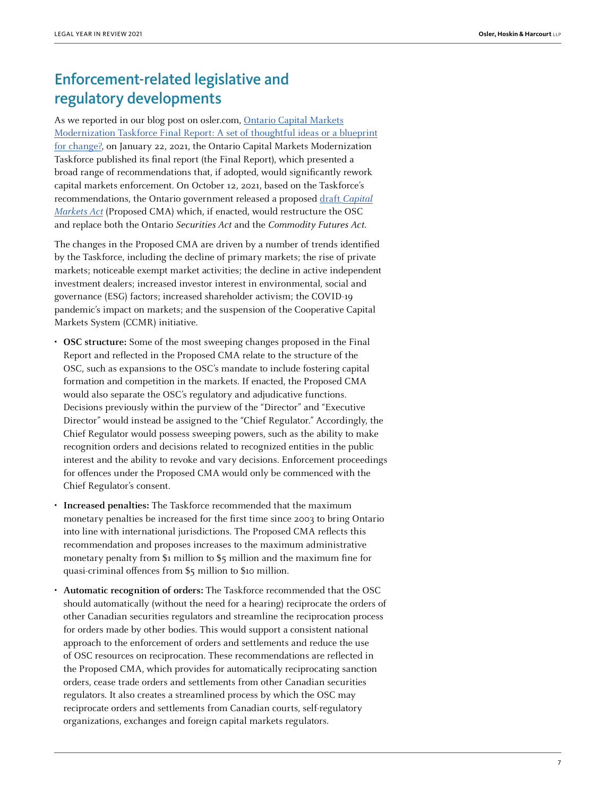# Enforcement-related legislative and regulatory developments

As we reported in our blog post on osler.com, [Ontario Capital Markets](https://www.osler.com/en/blogs/risk/february-2021/ontario-capital-markets-modernization-taskforce-final-report-a-set-of-thoughtful-ideas-or-a-bluepri) [Modernization Taskforce Final Report: A set of thoughtful ideas or a blueprint](https://www.osler.com/en/blogs/risk/february-2021/ontario-capital-markets-modernization-taskforce-final-report-a-set-of-thoughtful-ideas-or-a-bluepri) [for change?](https://www.osler.com/en/blogs/risk/february-2021/ontario-capital-markets-modernization-taskforce-final-report-a-set-of-thoughtful-ideas-or-a-bluepri), on January 22, 2021, the Ontario Capital Markets Modernization Taskforce published its final report (the Final Report), which presented a broad range of recommendations that, if adopted, would significantly rework capital markets enforcement. On October 12, 2021, based on the Taskforce's recommendations, the Ontario government released a proposed draft [Capital](https://www.ontariocanada.com/registry/view.do?postingId=38527&language=en) [Markets Act](https://www.ontariocanada.com/registry/view.do?postingId=38527&language=en) (Proposed CMA) which, if enacted, would restructure the OSC and replace both the Ontario Securities Act and the Commodity Futures Act.

The changes in the Proposed CMA are driven by a number of trends identified by the Taskforce, including the decline of primary markets; the rise of private markets; noticeable exempt market activities; the decline in active independent investment dealers; increased investor interest in environmental, social and governance (ESG) factors; increased shareholder activism; the COVID-19 pandemic's impact on markets; and the suspension of the Cooperative Capital Markets System (CCMR) initiative.

- **OSC structure:** Some of the most sweeping changes proposed in the Final Report and reflected in the Proposed CMA relate to the structure of the OSC, such as expansions to the OSC's mandate to include fostering capital formation and competition in the markets. If enacted, the Proposed CMA would also separate the OSC's regulatory and adjudicative functions. Decisions previously within the purview of the "Director" and "Executive Director" would instead be assigned to the "Chief Regulator." Accordingly, the Chief Regulator would possess sweeping powers, such as the ability to make recognition orders and decisions related to recognized entities in the public interest and the ability to revoke and vary decisions. Enforcement proceedings for offences under the Proposed CMA would only be commenced with the Chief Regulator's consent.
- **Increased penalties:** The Taskforce recommended that the maximum monetary penalties be increased for the first time since 2003 to bring Ontario into line with international jurisdictions. The Proposed CMA reflects this recommendation and proposes increases to the maximum administrative monetary penalty from \$1 million to \$5 million and the maximum fine for quasi-criminal offences from \$5 million to \$10 million.
- **Automatic recognition of orders:** The Taskforce recommended that the OSC should automatically (without the need for a hearing) reciprocate the orders of other Canadian securities regulators and streamline the reciprocation process for orders made by other bodies. This would support a consistent national approach to the enforcement of orders and settlements and reduce the use of OSC resources on reciprocation. These recommendations are reflected in the Proposed CMA, which provides for automatically reciprocating sanction orders, cease trade orders and settlements from other Canadian securities regulators. It also creates a streamlined process by which the OSC may reciprocate orders and settlements from Canadian courts, self-regulatory organizations, exchanges and foreign capital markets regulators.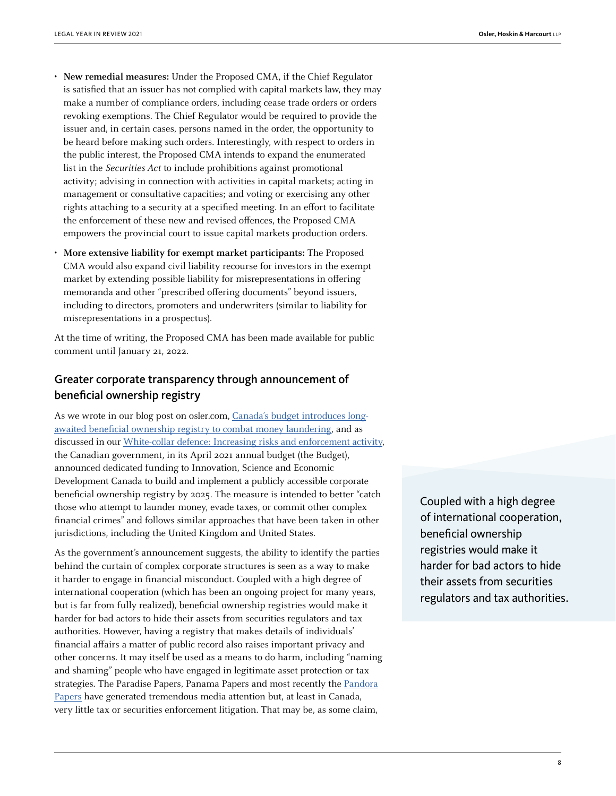- **New remedial measures:** Under the Proposed CMA, if the Chief Regulator is satisfied that an issuer has not complied with capital markets law, they may make a number of compliance orders, including cease trade orders or orders revoking exemptions. The Chief Regulator would be required to provide the issuer and, in certain cases, persons named in the order, the opportunity to be heard before making such orders. Interestingly, with respect to orders in the public interest, the Proposed CMA intends to expand the enumerated list in the Securities Act to include prohibitions against promotional activity; advising in connection with activities in capital markets; acting in management or consultative capacities; and voting or exercising any other rights attaching to a security at a specified meeting. In an effort to facilitate the enforcement of these new and revised offences, the Proposed CMA empowers the provincial court to issue capital markets production orders.
- **More extensive liability for exempt market participants:** The Proposed CMA would also expand civil liability recourse for investors in the exempt market by extending possible liability for misrepresentations in offering memoranda and other "prescribed offering documents" beyond issuers, including to directors, promoters and underwriters (similar to liability for misrepresentations in a prospectus).

At the time of writing, the Proposed CMA has been made available for public comment until January 21, 2022.

### Greater corporate transparency through announcement of beneficial ownership registry

As we wrote in our blog post on osler.com, [Canada's budget introduces long](https://www.osler.com/en/blogs/risk/april-2021/canada-s-budget-introduces-long-awaited-beneficial-ownership-registry-to-combat-money-laundering)[awaited beneficial ownership registry to combat money laundering](https://www.osler.com/en/blogs/risk/april-2021/canada-s-budget-introduces-long-awaited-beneficial-ownership-registry-to-combat-money-laundering), and as discussed in our [White-collar defence: Increasing risks and enforcement activity](https://legalyearinreview.ca/white-collar-defence-increasing-risks-and-enforcement-activity/), the Canadian government, in its April 2021 annual budget (the Budget), announced dedicated funding to Innovation, Science and Economic Development Canada to build and implement a publicly accessible corporate beneficial ownership registry by 2025. The measure is intended to better "catch those who attempt to launder money, evade taxes, or commit other complex financial crimes" and follows similar approaches that have been taken in other jurisdictions, including the United Kingdom and United States.

As the government's announcement suggests, the ability to identify the parties behind the curtain of complex corporate structures is seen as a way to make it harder to engage in financial misconduct. Coupled with a high degree of international cooperation (which has been an ongoing project for many years, but is far from fully realized), beneficial ownership registries would make it harder for bad actors to hide their assets from securities regulators and tax authorities. However, having a registry that makes details of individuals' financial affairs a matter of public record also raises important privacy and other concerns. It may itself be used as a means to do harm, including "naming and shaming" people who have engaged in legitimate asset protection or tax strategies. The Paradise Papers, Panama Papers and most recently the [Pandora](https://www.osler.com/en/blogs/risk/november-2021/the-pandora-papers-associated-risks-and-the-rising-importance-of-beneficial-ownership) [Papers](https://www.osler.com/en/blogs/risk/november-2021/the-pandora-papers-associated-risks-and-the-rising-importance-of-beneficial-ownership) have generated tremendous media attention but, at least in Canada, very little tax or securities enforcement litigation. That may be, as some claim,

Coupled with a high degree of international cooperation, beneficial ownership registries would make it harder for bad actors to hide their assets from securities regulators and tax authorities.